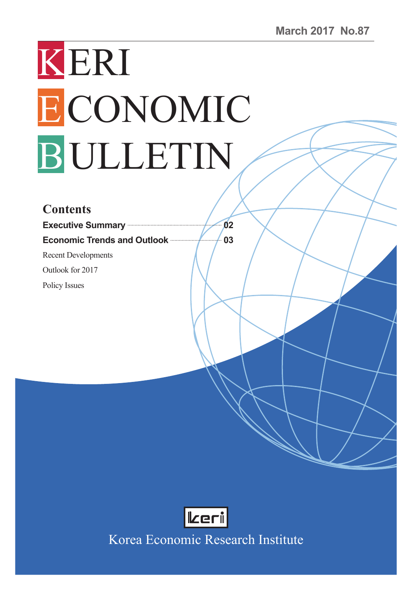# KERI ECONOMIC BULLETIN

#### **Contents**

**Executive Summary 02 Economic Trends and Outlook <b>Contract Contract** 03

Recent Developments

Outlook for 2017

Policy Issues



Korea Economic Research Institute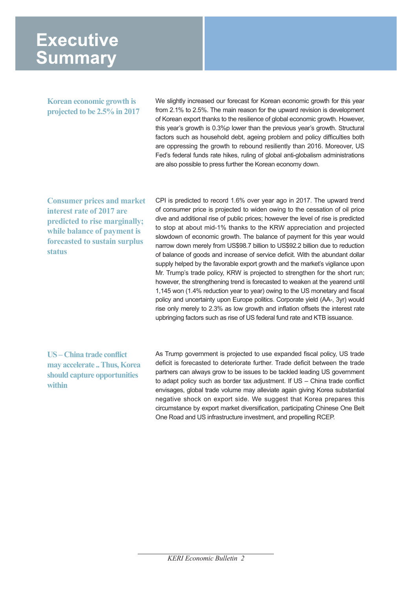### **Executive Summary**

**Korean economic growth is projected to be 2.5% in 2017** We slightly increased our forecast for Korean economic growth for this year from 2.1% to 2.5%. The main reason for the upward revision is development of Korean export thanks to the resilience of global economic growth. However, this year's growth is 0.3%p lower than the previous year's growth. Structural factors such as household debt, ageing problem and policy difficulties both are oppressing the growth to rebound resiliently than 2016. Moreover, US Fed's federal funds rate hikes, ruling of global anti-globalism administrations are also possible to press further the Korean economy down.

**Consumer prices and market interest rate of 2017 are predicted to rise marginally; while balance of payment is forecasted to sustain surplus status**

CPI is predicted to record 1.6% over year ago in 2017. The upward trend of consumer price is projected to widen owing to the cessation of oil price dive and additional rise of public prices; however the level of rise is predicted to stop at about mid-1% thanks to the KRW appreciation and projected slowdown of economic growth. The balance of payment for this year would narrow down merely from US\$98.7 billion to US\$92.2 billion due to reduction of balance of goods and increase of service deficit. With the abundant dollar supply helped by the favorable export growth and the market's vigilance upon Mr. Trump's trade policy, KRW is projected to strengthen for the short run; however, the strengthening trend is forecasted to weaken at the yearend until 1,145 won (1.4% reduction year to year) owing to the US monetary and fiscal policy and uncertainty upon Europe politics. Corporate yield (AA-, 3yr) would rise only merely to 2.3% as low growth and inflation offsets the interest rate upbringing factors such as rise of US federal fund rate and KTB issuance.

#### **US – China trade conflict may accelerate .. Thus, Korea should capture opportunities within**

As Trump government is projected to use expanded fiscal policy, US trade deficit is forecasted to deteriorate further. Trade deficit between the trade partners can always grow to be issues to be tackled leading US government to adapt policy such as border tax adjustment. If US – China trade conflict envisages, global trade volume may alleviate again giving Korea substantial negative shock on export side. We suggest that Korea prepares this circumstance by export market diversification, participating Chinese One Belt One Road and US infrastructure investment, and propelling RCEP.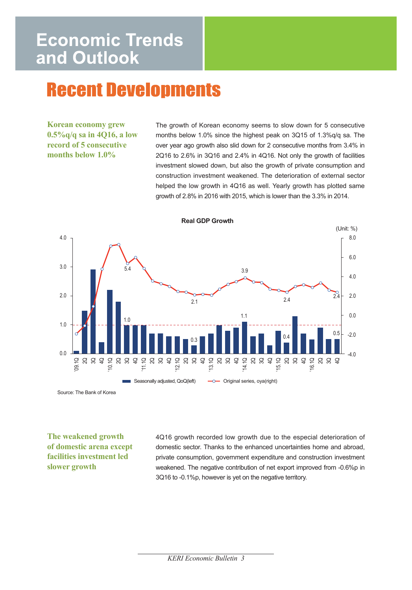# **Recent Developments**

**Korean economy grew 0.5%q/q sa in 4Q16, a low record of 5 consecutive months below 1.0%**

The growth of Korean economy seems to slow down for 5 consecutive months below 1.0% since the highest peak on 3Q15 of 1.3%q/q sa. The over year ago growth also slid down for 2 consecutive months from 3.4% in 2Q16 to 2.6% in 3Q16 and 2.4% in 4Q16. Not only the growth of facilities investment slowed down, but also the growth of private consumption and construction investment weakened. The deterioration of external sector helped the low growth in 4Q16 as well. Yearly growth has plotted same growth of 2.8% in 2016 with 2015, which is lower than the 3.3% in 2014.



Source: The Bank of Korea

**The weakened growth of domestic arena except facilities investment led slower growth** 

4Q16 growth recorded low growth due to the especial deterioration of domestic sector. Thanks to the enhanced uncertainties home and abroad, private consumption, government expenditure and construction investment weakened. The negative contribution of net export improved from -0.6%p in 3Q16 to -0.1%p, however is yet on the negative territory.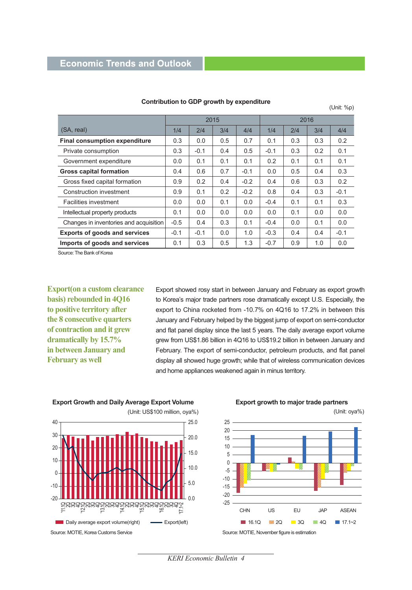|                                        | 2015   |        |     |        | 2016                 |     |     |        |
|----------------------------------------|--------|--------|-----|--------|----------------------|-----|-----|--------|
| (SA, real)                             | 1/4    | 2/4    | 3/4 | 4/4    | 1/4                  | 2/4 | 3/4 | 4/4    |
| <b>Final consumption expenditure</b>   | 0.3    | 0.0    | 0.5 | 0.7    | 0.1                  | 0.3 | 0.3 | 0.2    |
| Private consumption                    | 0.3    | $-0.1$ | 0.4 | 0.5    | $-0.1$               | 0.3 | 0.2 | 0.1    |
| Government expenditure                 | 0.0    | 0.1    | 0.1 | 0.1    | 0.2                  | 0.1 | 0.1 | 0.1    |
| <b>Gross capital formation</b>         | 0.4    | 0.6    | 0.7 | $-0.1$ | 0.0                  | 0.5 | 0.4 | 0.3    |
| Gross fixed capital formation          | 0.9    | 0.2    | 0.4 | $-0.2$ | 0.4                  | 0.6 | 0.3 | 0.2    |
| Construction investment                | 0.9    | 0.1    | 0.2 | $-0.2$ | 0.8                  | 0.4 | 0.3 | $-0.1$ |
| Facilities investment                  | 0.0    | 0.0    | 0.1 | 0.0    | $-0.4$               | 0.1 | 0.1 | 0.3    |
| Intellectual property products         | 0.1    | 0.0    | 0.0 | 0.0    | 0.0                  | 0.1 | 0.0 | 0.0    |
| Changes in inventories and acquisition | $-0.5$ | 0.4    | 0.3 | 0.1    | $-0.4$               | 0.0 | 0.1 | 0.0    |
| <b>Exports of goods and services</b>   | $-0.1$ | $-0.1$ | 0.0 | 1.0    | $-0.3$<br>0.4<br>0.4 |     |     | $-0.1$ |
| Imports of goods and services          | 0.1    | 0.3    | 0.5 | 1.3    | $-0.7$               | 0.9 | 1.0 | 0.0    |

#### **Contribution to GDP growth by expenditure CONDITY** (Unit: %p)

Source: The Bank of Korea

**Export(on a custom clearance basis) rebounded in 4Q16 to positive territory after the 8 consecutive quarters of contraction and it grew dramatically by 15.7% in between January and February as well**

Export showed rosy start in between January and February as export growth to Korea's major trade partners rose dramatically except U.S. Especially, the export to China rocketed from -10.7% on 4Q16 to 17.2% in between this January and February helped by the biggest jump of export on semi-conductor and flat panel display since the last 5 years. The daily average export volume grew from US\$1.86 billion in 4Q16 to US\$19.2 billion in between January and February. The export of semi-conductor, petroleum products, and flat panel display all showed huge growth; while that of wireless communication devices and home appliances weakened again in minus territory.

**Export Growth and Daily Average Export Volume**



**Export growth to major trade partners**



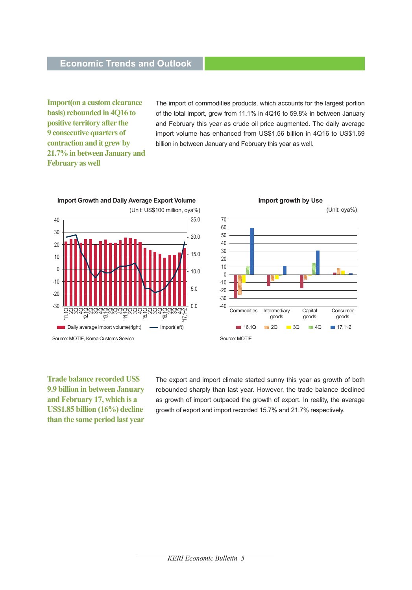**Import(on a custom clearance basis) rebounded in 4Q16 to positive territory after the 9 consecutive quarters of contraction and it grew by 21.7% in between January and February as well**

The import of commodities products, which accounts for the largest portion of the total import, grew from 11.1% in 4Q16 to 59.8% in between January and February this year as crude oil price augmented. The daily average import volume has enhanced from US\$1.56 billion in 4Q16 to US\$1.69 billion in between January and February this year as well.



**Trade balance recorded US\$ 9.9 billion in between January and February 17, which is a US\$1.85 billion (16%) decline than the same period last year** 

The export and import climate started sunny this year as growth of both rebounded sharply than last year. However, the trade balance declined as growth of import outpaced the growth of export. In reality, the average growth of export and import recorded 15.7% and 21.7% respectively.

Consumer goods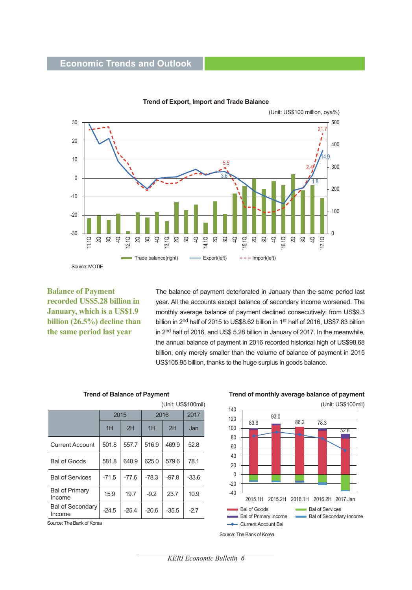

**Trend of Export, Import and Trade Balance**

**Balance of Payment recorded US\$5.28 billion in January, which is a US\$1.9 billion (26.5%) decline than the same period last year**

The balance of payment deteriorated in January than the same period last year. All the accounts except balance of secondary income worsened. The monthly average balance of payment declined consecutively: from US\$9.3 billion in 2<sup>nd</sup> half of 2015 to US\$8.62 billion in 1<sup>st</sup> half of 2016, US\$7.83 billion in 2nd half of 2016, and US\$ 5.28 billion in January of 2017. In the meanwhile, the annual balance of payment in 2016 recorded historical high of US\$98.68 billion, only merely smaller than the volume of balance of payment in 2015 US\$105.95 billion, thanks to the huge surplus in goods balance.

| (Unit: US\$100mil)                |         |         |         |         |         |  |  |  |  |
|-----------------------------------|---------|---------|---------|---------|---------|--|--|--|--|
|                                   | 2015    |         | 2016    |         | 2017    |  |  |  |  |
|                                   | 1H      | 2H      | 1H      | 2H      | Jan     |  |  |  |  |
| <b>Current Account</b>            | 501.8   | 557.7   | 516.9   | 469.9   | 52.8    |  |  |  |  |
| <b>Bal of Goods</b>               | 581.8   | 640.9   | 625.0   | 579.6   | 78.1    |  |  |  |  |
| <b>Bal of Services</b>            | $-71.5$ | $-77.6$ | $-78.3$ | $-97.8$ | $-33.6$ |  |  |  |  |
| <b>Bal of Primary</b><br>Income   | 15.9    | 19.7    | $-9.2$  | 23.7    | 10.9    |  |  |  |  |
| <b>Bal of Secondary</b><br>Income | $-24.5$ | $-25.4$ | $-20.6$ | $-35.5$ | -27     |  |  |  |  |

**Trend of Balance of Payment**

Source: The Bank of Korea

**Trend of monthly average balance of payment**



*KERI Economic Bulletin 6*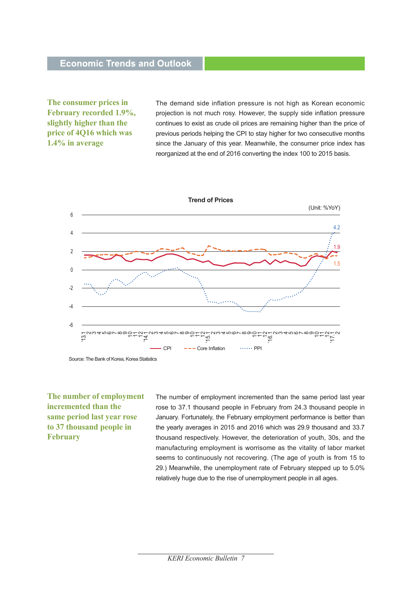**The consumer prices in February recorded 1.9%, slightly higher than the price of 4Q16 which was 1.4% in average** 

The demand side inflation pressure is not high as Korean economic projection is not much rosy. However, the supply side inflation pressure continues to exist as crude oil prices are remaining higher than the price of previous periods helping the CPI to stay higher for two consecutive months since the January of this year. Meanwhile, the consumer price index has reorganized at the end of 2016 converting the index 100 to 2015 basis.



Source: The Bank of Korea, Korea Statistics

**The number of employment incremented than the same period last year rose to 37 thousand people in February** 

The number of employment incremented than the same period last year rose to 37.1 thousand people in February from 24.3 thousand people in January. Fortunately, the February employment performance is better than the yearly averages in 2015 and 2016 which was 29.9 thousand and 33.7 thousand respectively. However, the deterioration of youth, 30s, and the manufacturing employment is worrisome as the vitality of labor market seems to continuously not recovering. (The age of youth is from 15 to 29.) Meanwhile, the unemployment rate of February stepped up to 5.0% relatively huge due to the rise of unemployment people in all ages.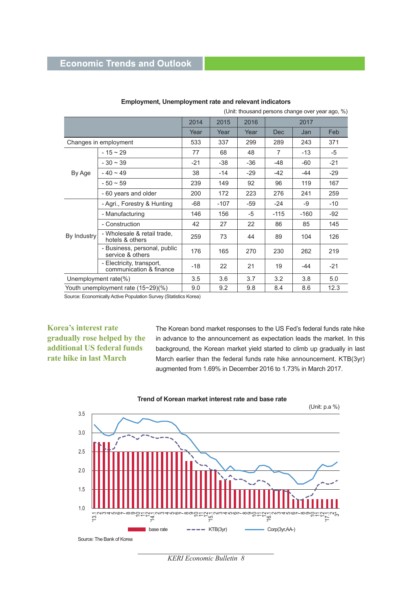|             | (Unit: thousand persons change over year ago, %)     |       |        |       |            |        |       |  |
|-------------|------------------------------------------------------|-------|--------|-------|------------|--------|-------|--|
|             |                                                      | 2014  | 2015   | 2016  | 2017       |        |       |  |
|             |                                                      | Year  | Year   | Year  | <b>Dec</b> | Jan    | Feb   |  |
|             | Changes in employment                                | 533   | 337    | 299   | 289        | 243    | 371   |  |
|             | $-15 \sim 29$                                        | 77    | 68     | 48    | 7          | $-13$  | -5    |  |
|             | $-30 \sim 39$                                        | $-21$ | $-38$  | $-36$ | $-48$      | -60    | $-21$ |  |
| By Age      | $-40 \sim 49$                                        | 38    | $-14$  | $-29$ | $-42$      | -44    | $-29$ |  |
|             | $-50 \sim 59$                                        | 239   | 149    | 92    | 96         | 119    | 167   |  |
|             | - 60 years and older                                 | 200   | 172    | 223   | 276        | 241    | 259   |  |
|             | - Agri., Forestry & Hunting                          | $-68$ | $-107$ | $-59$ | $-24$      | -9     | $-10$ |  |
|             | - Manufacturing                                      | 146   | 156    | -5    | $-115$     | $-160$ | $-92$ |  |
|             | - Construction                                       | 42    | 27     | 22    | 86         | 85     | 145   |  |
| By Industry | - Wholesale & retail trade.<br>hotels & others       | 259   | 73     | 44    | 89         | 104    | 126   |  |
|             | - Business, personal, public<br>service & others     | 176   | 165    | 270   | 230        | 262    | 219   |  |
|             | - Electricity, transport,<br>communication & finance | $-18$ | 22     | 21    | 19         | -44    | $-21$ |  |
|             | Unemployment rate( $\%$ )                            | 3.5   | 3.6    | 3.7   | 3.2        | 3.8    | 5.0   |  |
|             | Youth unemployment rate (15~29)(%)                   | 9.0   | 9.2    | 9.8   | 8.4        | 8.6    | 12.3  |  |

#### **Employment, Unemployment rate and relevant indicators**

Source: Economically Active Population Survey (Statistics Korea)

#### **Korea's interest rate gradually rose helped by the additional US federal funds rate hike in last March**

The Korean bond market responses to the US Fed's federal funds rate hike in advance to the announcement as expectation leads the market. In this background, the Korean market yield started to climb up gradually in last March earlier than the federal funds rate hike announcement. KTB(3yr) augmented from 1.69% in December 2016 to 1.73% in March 2017.





*KERI Economic Bulletin 8*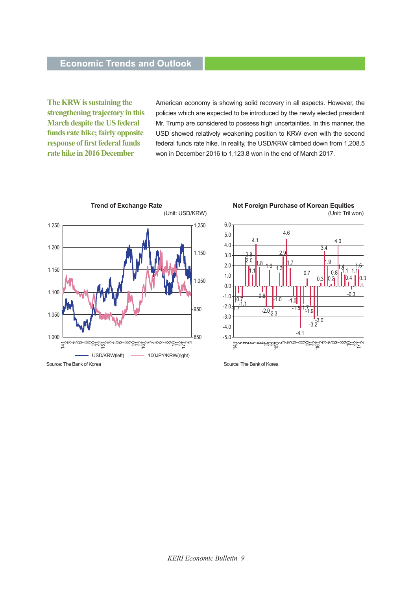**The KRW is sustaining the strengthening trajectory in this March despite the US federal funds rate hike; fairly opposite response of first federal funds rate hike in 2016 December** 

American economy is showing solid recovery in all aspects. However, the policies which are expected to be introduced by the newly elected president Mr. Trump are considered to possess high uncertainties. In this manner, the USD showed relatively weakening position to KRW even with the second federal funds rate hike. In reality, the USD/KRW climbed down from 1,208.5 won in December 2016 to 1,123.8 won in the end of March 2017.





(Unit: Tril won) **Net Foreign Purchase of Korean Equities**

Source: The Bank of Korea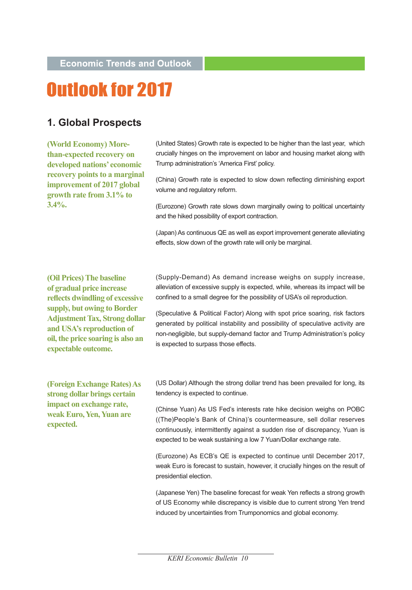# Outlook for 2017

#### **1. Global Prospects**

**(World Economy) Morethan-expected recovery on developed nations' economic recovery points to a marginal improvement of 2017 global growth rate from 3.1% to 3.4%.**

(United States) Growth rate is expected to be higher than the last year, which crucially hinges on the improvement on labor and housing market along with Trump administration's 'America First' policy.

(China) Growth rate is expected to slow down reflecting diminishing export volume and regulatory reform.

(Eurozone) Growth rate slows down marginally owing to political uncertainty and the hiked possibility of export contraction.

(Japan) As continuous QE as well as export improvement generate alleviating effects, slow down of the growth rate will only be marginal.

**(Oil Prices) The baseline of gradual price increase reflects dwindling of excessive supply, but owing to Border Adjustment Tax, Strong dollar and USA's reproduction of oil, the price soaring is also an expectable outcome.** 

(Supply-Demand) As demand increase weighs on supply increase, alleviation of excessive supply is expected, while, whereas its impact will be confined to a small degree for the possibility of USA's oil reproduction.

(Speculative & Political Factor) Along with spot price soaring, risk factors generated by political instability and possibility of speculative activity are non-negligible, but supply-demand factor and Trump Administration's policy is expected to surpass those effects.

**(Foreign Exchange Rates) As strong dollar brings certain impact on exchange rate, weak Euro, Yen, Yuan are expected.** 

(US Dollar) Although the strong dollar trend has been prevailed for long, its tendency is expected to continue.

(Chinse Yuan) As US Fed's interests rate hike decision weighs on POBC ((The)People's Bank of China)'s countermeasure, sell dollar reserves continuously, intermittently against a sudden rise of discrepancy, Yuan is expected to be weak sustaining a low 7 Yuan/Dollar exchange rate.

(Eurozone) As ECB's QE is expected to continue until December 2017, weak Euro is forecast to sustain, however, it crucially hinges on the result of presidential election.

(Japanese Yen) The baseline forecast for weak Yen reflects a strong growth of US Economy while discrepancy is visible due to current strong Yen trend induced by uncertainties from Trumponomics and global economy.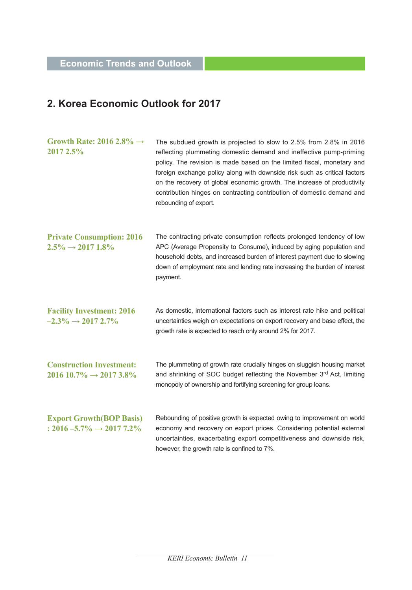#### **2. Korea Economic Outlook for 2017**

| Growth Rate: 2016 2.8% $\rightarrow$<br>2017 2.5%                          | The subdued growth is projected to slow to 2.5% from 2.8% in 2016<br>reflecting plummeting domestic demand and ineffective pump-priming<br>policy. The revision is made based on the limited fiscal, monetary and<br>foreign exchange policy along with downside risk such as critical factors<br>on the recovery of global economic growth. The increase of productivity<br>contribution hinges on contracting contribution of domestic demand and<br>rebounding of export. |
|----------------------------------------------------------------------------|------------------------------------------------------------------------------------------------------------------------------------------------------------------------------------------------------------------------------------------------------------------------------------------------------------------------------------------------------------------------------------------------------------------------------------------------------------------------------|
| <b>Private Consumption: 2016</b><br>$2.5\% \rightarrow 2017$ 1.8%          | The contracting private consumption reflects prolonged tendency of low<br>APC (Average Propensity to Consume), induced by aging population and<br>household debts, and increased burden of interest payment due to slowing<br>down of employment rate and lending rate increasing the burden of interest<br>payment.                                                                                                                                                         |
| <b>Facility Investment: 2016</b><br>$-2.3\% \rightarrow 20172.7\%$         | As domestic, international factors such as interest rate hike and political<br>uncertainties weigh on expectations on export recovery and base effect, the<br>growth rate is expected to reach only around 2% for 2017.                                                                                                                                                                                                                                                      |
| <b>Construction Investment:</b><br>$2016\,10.7\% \rightarrow 2017\,3.8\%$  | The plummeting of growth rate crucially hinges on sluggish housing market<br>and shrinking of SOC budget reflecting the November 3rd Act, limiting<br>monopoly of ownership and fortifying screening for group loans.                                                                                                                                                                                                                                                        |
| <b>Export Growth (BOP Basis)</b><br>: $2016 - 5.7\% \rightarrow 20177.2\%$ | Rebounding of positive growth is expected owing to improvement on world<br>economy and recovery on export prices. Considering potential external<br>uncertainties, exacerbating export competitiveness and downside risk,<br>however, the growth rate is confined to 7%.                                                                                                                                                                                                     |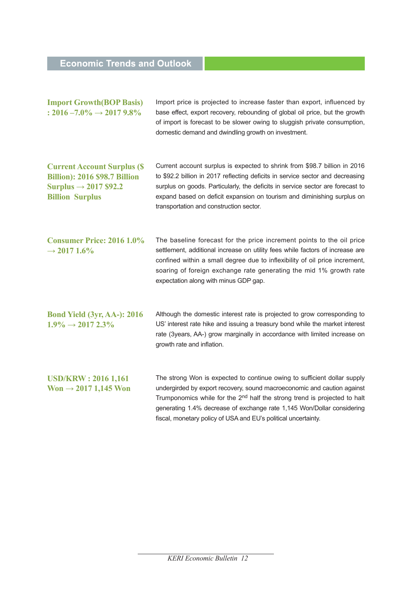| <b>Import Growth (BOP Basis)</b><br>: $2016 - 7.0\% \rightarrow 20179.8\%$                                                                | Import price is projected to increase faster than export, influenced by<br>base effect, export recovery, rebounding of global oil price, but the growth<br>of import is forecast to be slower owing to sluggish private consumption,<br>domestic demand and dwindling growth on investment.                                                                                              |
|-------------------------------------------------------------------------------------------------------------------------------------------|------------------------------------------------------------------------------------------------------------------------------------------------------------------------------------------------------------------------------------------------------------------------------------------------------------------------------------------------------------------------------------------|
| <b>Current Account Surplus (\$</b><br><b>Billion): 2016 \$98.7 Billion</b><br>Surplus $\rightarrow$ 2017 \$92.2<br><b>Billion Surplus</b> | Current account surplus is expected to shrink from \$98.7 billion in 2016<br>to \$92.2 billion in 2017 reflecting deficits in service sector and decreasing<br>surplus on goods. Particularly, the deficits in service sector are forecast to<br>expand based on deficit expansion on tourism and diminishing surplus on<br>transportation and construction sector.                      |
| <b>Consumer Price: 2016 1.0%</b><br>$\rightarrow$ 2017 1.6%                                                                               | The baseline forecast for the price increment points to the oil price<br>settlement, additional increase on utility fees while factors of increase are<br>confined within a small degree due to inflexibility of oil price increment,<br>soaring of foreign exchange rate generating the mid 1% growth rate<br>expectation along with minus GDP gap.                                     |
| <b>Bond Yield (3yr, AA-): 2016</b><br>$1.9\% \rightarrow 20172.3\%$                                                                       | Although the domestic interest rate is projected to grow corresponding to<br>US' interest rate hike and issuing a treasury bond while the market interest<br>rate (3years, AA-) grow marginally in accordance with limited increase on<br>growth rate and inflation.                                                                                                                     |
| <b>USD/KRW: 2016 1,161</b><br>Won $\rightarrow$ 2017 1,145 Won                                                                            | The strong Won is expected to continue owing to sufficient dollar supply<br>undergirded by export recovery, sound macroeconomic and caution against<br>Trumponomics while for the 2 <sup>nd</sup> half the strong trend is projected to halt<br>generating 1.4% decrease of exchange rate 1,145 Won/Dollar considering<br>fiscal, monetary policy of USA and EU's political uncertainty. |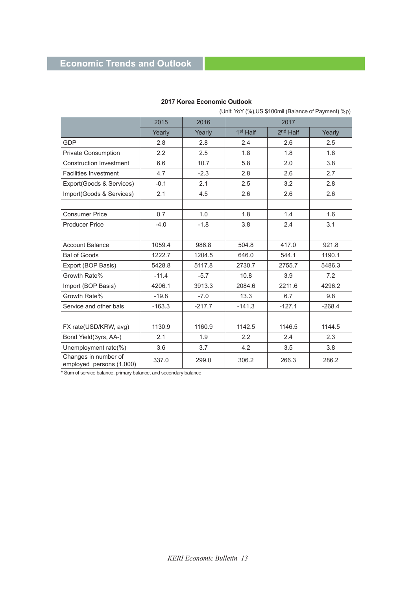|                                                  | (Unit: YoY (%), US \$100mil (Balance of Payment) %p) |          |                      |                      |          |  |  |
|--------------------------------------------------|------------------------------------------------------|----------|----------------------|----------------------|----------|--|--|
|                                                  | 2015                                                 | 2016     |                      | 2017                 |          |  |  |
|                                                  | Yearly                                               | Yearly   | 1 <sup>st</sup> Half | 2 <sup>nd</sup> Half | Yearly   |  |  |
| <b>GDP</b>                                       | 2.8                                                  | 2.8      | 2.4                  | 2.6                  | 2.5      |  |  |
| <b>Private Consumption</b>                       | 2.2                                                  | 2.5      | 1.8                  | 1.8                  | 1.8      |  |  |
| <b>Construction Investment</b>                   | 6.6                                                  | 10.7     | 5.8                  | 2.0                  | 3.8      |  |  |
| <b>Facilities Investment</b>                     | 4.7                                                  | $-2.3$   | 2.8                  | 2.6                  | 2.7      |  |  |
| Export(Goods & Services)                         | $-0.1$                                               | 2.1      | 2.5                  | 3.2                  | 2.8      |  |  |
| Import(Goods & Services)                         | 2.1                                                  | 4.5      | 2.6                  | 2.6                  | 2.6      |  |  |
|                                                  |                                                      |          |                      |                      |          |  |  |
| <b>Consumer Price</b>                            | 0.7                                                  | 1.0      | 1.8                  | 1.4                  | 1.6      |  |  |
| <b>Producer Price</b>                            | $-4.0$                                               | $-1.8$   | 3.8                  | 2.4                  | 3.1      |  |  |
|                                                  |                                                      |          |                      |                      |          |  |  |
| <b>Account Balance</b>                           | 1059.4                                               | 986.8    | 504.8                | 417.0                | 921.8    |  |  |
| <b>Bal of Goods</b>                              | 1222.7                                               | 1204.5   | 646.0                | 544.1                | 1190.1   |  |  |
| Export (BOP Basis)                               | 5428.8                                               | 5117.8   | 2730.7               | 2755.7               | 5486.3   |  |  |
| Growth Rate%                                     | $-11.4$                                              | $-5.7$   | 10.8                 | 3.9                  | 7.2      |  |  |
| Import (BOP Basis)                               | 4206.1                                               | 3913.3   | 2084.6               | 2211.6               | 4296.2   |  |  |
| Growth Rate%                                     | $-19.8$                                              | $-7.0$   | 13.3                 | 6.7                  | 9.8      |  |  |
| Service and other bals                           | $-163.3$                                             | $-217.7$ | $-141.3$             | $-127.1$             | $-268.4$ |  |  |
|                                                  |                                                      |          |                      |                      |          |  |  |
| FX rate(USD/KRW, avg)                            | 1130.9                                               | 1160.9   | 1142.5               | 1146.5               | 1144.5   |  |  |
| Bond Yield(3yrs, AA-)                            | 2.1                                                  | 1.9      | 2.2                  | 2.4                  | 2.3      |  |  |
| Unemployment rate(%)                             | 3.6                                                  | 3.7      | 4.2                  | 3.5                  | 3.8      |  |  |
| Changes in number of<br>employed persons (1,000) | 337.0                                                | 299.0    | 306.2                | 266.3                | 286.2    |  |  |

#### **2017 Korea Economic Outlook**

\* Sum of service balance, primary balance, and secondary balance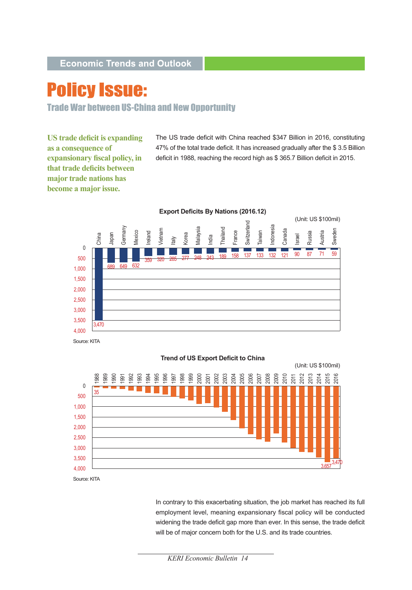# **Policy Issue:**

Trade War between US-China and New Opportunity

**US trade deficit is expanding as a consequence of expansionary fiscal policy, in that trade deficits between major trade nations has become a major issue.**

The US trade deficit with China reached \$347 Billion in 2016, constituting 47% of the total trade deficit. It has increased gradually after the \$ 3.5 Billion deficit in 1988, reaching the record high as \$ 365.7 Billion deficit in 2015.



Source: KITA



**Trend of US Export Deficit to China**

In contrary to this exacerbating situation, the job market has reached its full employment level, meaning expansionary fiscal policy will be conducted widening the trade deficit gap more than ever. In this sense, the trade deficit will be of major concern both for the U.S. and its trade countries.

*KERI Economic Bulletin 14*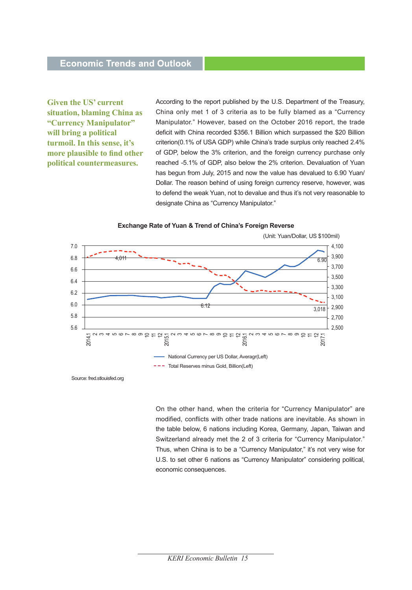**Given the US' current situation, blaming China as "Currency Manipulator" will bring a political turmoil. In this sense, it's more plausible to find other political countermeasures.** 

According to the report published by the U.S. Department of the Treasury, China only met 1 of 3 criteria as to be fully blamed as a "Currency Manipulator." However, based on the October 2016 report, the trade deficit with China recorded \$356.1 Billion which surpassed the \$20 Billion criterion(0.1% of USA GDP) while China's trade surplus only reached 2.4% of GDP, below the 3% criterion, and the foreign currency purchase only reached -5.1% of GDP, also below the 2% criterion. Devaluation of Yuan has begun from July, 2015 and now the value has devalued to 6.90 Yuan/ Dollar. The reason behind of using foreign currency reserve, however, was to defend the weak Yuan, not to devalue and thus it's not very reasonable to designate China as "Currency Manipulator."



**Exchange Rate of Yuan & Trend of China's Foreign Reverse**

Source: fred.stlouisfed.org

On the other hand, when the criteria for "Currency Manipulator" are modified, conflicts with other trade nations are inevitable. As shown in the table below, 6 nations including Korea, Germany, Japan, Taiwan and Switzerland already met the 2 of 3 criteria for "Currency Manipulator." Thus, when China is to be a "Currency Manipulator," it's not very wise for U.S. to set other 6 nations as "Currency Manipulator" considering political, economic consequences.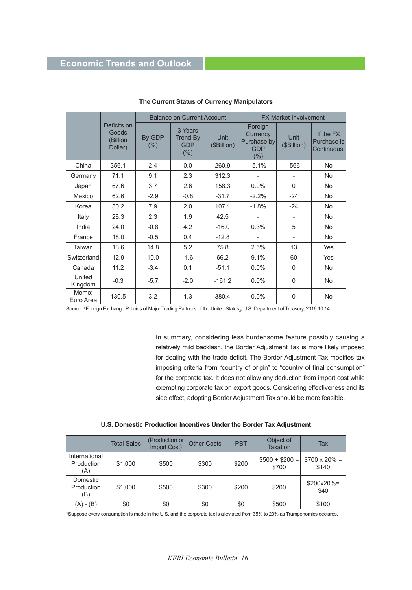|                    |                                                                                                                     |        | <b>Balance on Current Account</b> |                                                          | <b>FX Market Involvement</b> |                                         |           |  |
|--------------------|---------------------------------------------------------------------------------------------------------------------|--------|-----------------------------------|----------------------------------------------------------|------------------------------|-----------------------------------------|-----------|--|
|                    | Deficits on<br>3 Years<br>Goods<br>By GDP<br><b>Trend By</b><br>(Billion<br><b>GDP</b><br>(%)<br>Dollar)<br>$(\% )$ |        | <b>Unit</b><br>(\$Billion)        | Foreign<br>Currency<br>Purchase by<br><b>GDP</b><br>(% ) | <b>Unit</b><br>(\$Billion)   | If the FX<br>Purchase is<br>Continuous. |           |  |
| China              | 356.1                                                                                                               | 2.4    | 0.0                               | 260.9                                                    | $-5.1%$                      | $-566$                                  | <b>No</b> |  |
| Germany            | 71.1                                                                                                                | 9.1    | 2.3                               | 312.3                                                    |                              |                                         | <b>No</b> |  |
| Japan              | 67.6                                                                                                                | 3.7    | 2.6                               | 158.3                                                    | $0.0\%$                      | $\Omega$                                | <b>No</b> |  |
| Mexico             | 62.6                                                                                                                | $-2.9$ | $-0.8$                            | $-31.7$                                                  | $-2.2%$                      | $-24$                                   | <b>No</b> |  |
| Korea              | 30.2                                                                                                                | 7.9    | 2.0                               | 107.1                                                    | $-1.8%$                      | $-24$                                   | <b>No</b> |  |
| Italy              | 28.3                                                                                                                | 2.3    | 1.9                               | 42.5                                                     |                              | $\overline{\phantom{a}}$                | <b>No</b> |  |
| India              | 24.0                                                                                                                | $-0.8$ | 4.2                               | $-16.0$                                                  | 0.3%                         | 5                                       | <b>No</b> |  |
| France             | 18.0                                                                                                                | $-0.5$ | 0.4                               | $-12.8$                                                  | $\overline{\phantom{a}}$     | $\qquad \qquad -$                       | <b>No</b> |  |
| Taiwan             | 13.6                                                                                                                | 14.8   | 5.2                               | 75.8                                                     | 2.5%                         | 13                                      | Yes       |  |
| Switzerland        | 12.9                                                                                                                | 10.0   | $-1.6$                            | 66.2                                                     | 9.1%                         | 60                                      | Yes       |  |
| Canada             | 11.2                                                                                                                | $-3.4$ | 0.1                               | $-51.1$                                                  | 0.0%                         | $\Omega$                                | <b>No</b> |  |
| United<br>Kingdom  | $-0.3$                                                                                                              | $-5.7$ | $-2.0$                            | $-161.2$                                                 | $0.0\%$                      | $\Omega$                                | <b>No</b> |  |
| Memo:<br>Euro Area | 130.5                                                                                                               | 3.2    | 1.3                               | 380.4                                                    | 0.0%                         | 0                                       | No        |  |

#### **The Current Status of Currency Manipulators**

Source: 『Foreign Exchange Policies of Major Trading Partners of the United States』, U.S. Department of Treasury, 2016.10.14

In summary, considering less burdensome feature possibly causing a relatively mild backlash, the Border Adjustment Tax is more likely imposed for dealing with the trade deficit. The Border Adjustment Tax modifies tax imposing criteria from "country of origin" to "country of final consumption" for the corporate tax. It does not allow any deduction from import cost while exempting corporate tax on export goods. Considering effectiveness and its side effect, adopting Border Adjustment Tax should be more feasible.

|  |  |  |  |  |  | U.S. Domestic Production Incentives Under the Border Tax Adjustment |
|--|--|--|--|--|--|---------------------------------------------------------------------|
|--|--|--|--|--|--|---------------------------------------------------------------------|

|                                    | <b>Total Sales</b> | (Production or<br>Import Cost) | <b>Other Costs</b> | <b>PBT</b> | Object of<br><b>Taxation</b> | Tax                           |
|------------------------------------|--------------------|--------------------------------|--------------------|------------|------------------------------|-------------------------------|
| International<br>Production<br>(A) | \$1,000            | \$500                          | \$300              | \$200      | $$500 + $200 =$<br>\$700     | $$700 \times 20\% =$<br>\$140 |
| Domestic<br>Production<br>(B)      | \$1,000            | \$500                          | \$300              | \$200      | \$200                        | $$200x20\%$<br>\$40           |
| (A) - (B)                          | \$0                | \$0                            | \$0                | \$0        | \$500                        | \$100                         |

\*Suppose every consumption is made in the U.S. and the corporate tax is alleviated from 35% to 20% as Trumponomics declares.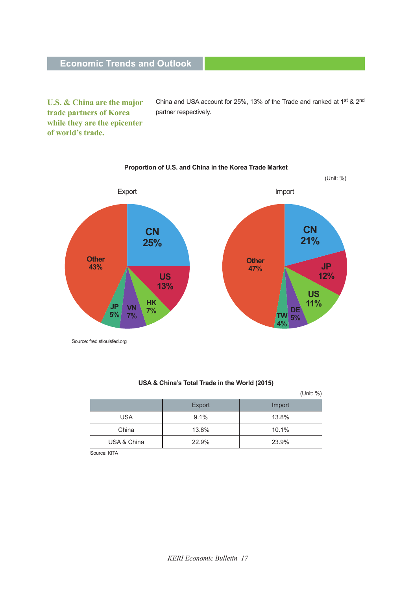**U.S. & China are the major trade partners of Korea while they are the epicenter of world's trade.** 

China and USA account for 25%, 13% of the Trade and ranked at 1st & 2nd partner respectively.

#### (Unit: %) **CN 25% US 13% HK VN 7% 7% JP 5% Other 43% CN 21% US 11% DE 5% TW Other 47% JP 12% 4%** Export Import

**Proportion of U.S. and China in the Korea Trade Market**

Source: fred.stlouisfed.org

#### **USA & China's Total Trade in the World (2015)**

 (Unit: %) Export | Import USA 9.1% 13.8% China | 13.8% | 10.1% USA & China  $22.9\%$  23.9%

Source: KITA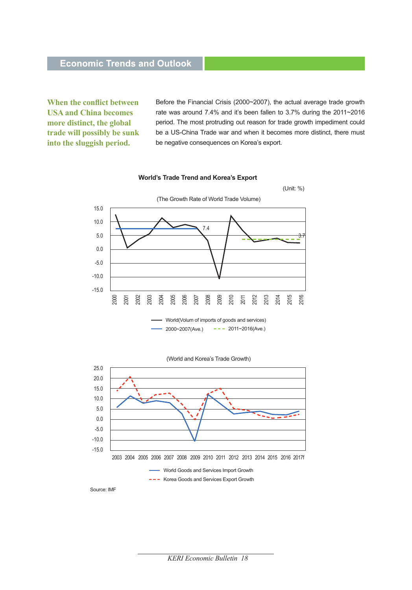**When the conflict between USA and China becomes more distinct, the global trade will possibly be sunk into the sluggish period.** 

Before the Financial Crisis (2000~2007), the actual average trade growth rate was around 7.4% and it's been fallen to 3.7% during the 2011~2016 period. The most protruding out reason for trade growth impediment could be a US-China Trade war and when it becomes more distinct, there must be negative consequences on Korea's export.

#### **World's Trade Trend and Korea's Export**



(World and Korea's Trade Growth)



Source: IMF

25.0

*KERI Economic Bulletin 18*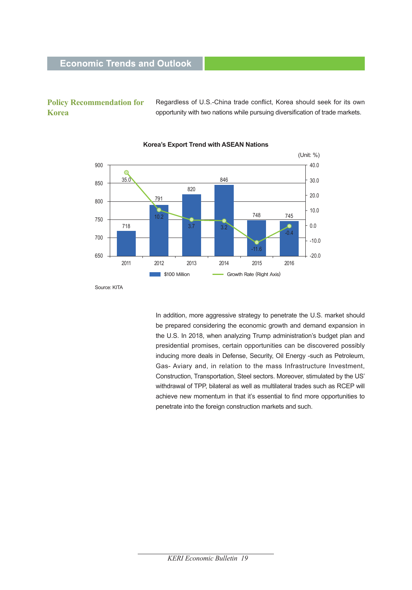#### **Policy Recommendation for Korea**

Regardless of U.S.-China trade conflict, Korea should seek for its own opportunity with two nations while pursuing diversification of trade markets.



#### **Korea's Export Trend with ASEAN Nations**

In addition, more aggressive strategy to penetrate the U.S. market should be prepared considering the economic growth and demand expansion in the U.S. In 2018, when analyzing Trump administration's budget plan and presidential promises, certain opportunities can be discovered possibly inducing more deals in Defense, Security, Oil Energy -such as Petroleum, Gas- Aviary and, in relation to the mass Infrastructure Investment,

Construction, Transportation, Steel sectors. Moreover, stimulated by the US' withdrawal of TPP, bilateral as well as multilateral trades such as RCEP will achieve new momentum in that it's essential to find more opportunities to penetrate into the foreign construction markets and such.